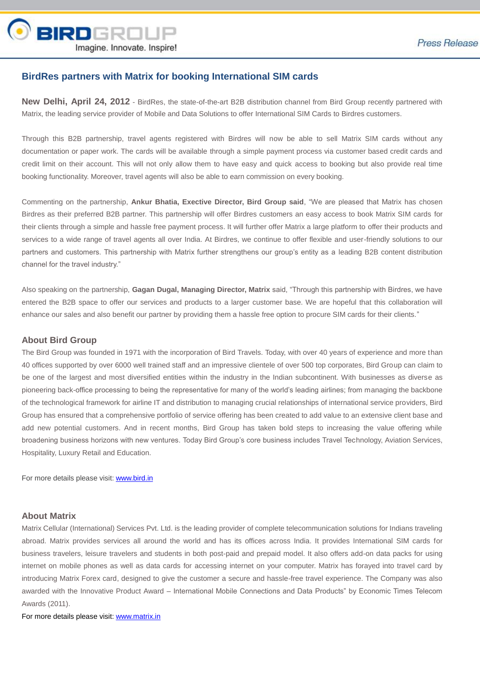

## **BirdRes partners with Matrix for booking International SIM cards**

**New Delhi, April 24, 2012** - BirdRes, the state-of-the-art B2B distribution channel from Bird Group recently partnered with Matrix, the leading service provider of Mobile and Data Solutions to offer International SIM Cards to Birdres customers.

Through this B2B partnership, travel agents registered with Birdres will now be able to sell Matrix SIM cards without any documentation or paper work. The cards will be available through a simple payment process via customer based credit cards and credit limit on their account. This will not only allow them to have easy and quick access to booking but also provide real time booking functionality. Moreover, travel agents will also be able to earn commission on every booking.

Commenting on the partnership, **Ankur Bhatia, Exective Director, Bird Group said**, "We are pleased that Matrix has chosen Birdres as their preferred B2B partner. This partnership will offer Birdres customers an easy access to book Matrix SIM cards for their clients through a simple and hassle free payment process. It will further offer Matrix a large platform to offer their products and services to a wide range of travel agents all over India. At Birdres, we continue to offer flexible and user-friendly solutions to our partners and customers. This partnership with Matrix further strengthens our group's entity as a leading B2B content distribution channel for the travel industry."

Also speaking on the partnership, **Gagan Dugal, Managing Director, Matrix** said, "Through this partnership with Birdres, we have entered the B2B space to offer our services and products to a larger customer base. We are hopeful that this collaboration will enhance our sales and also benefit our partner by providing them a hassle free option to procure SIM cards for their clients."

## **About Bird Group**

The Bird Group was founded in 1971 with the incorporation of Bird Travels. Today, with over 40 years of experience and more than 40 offices supported by over 6000 well trained staff and an impressive clientele of over 500 top corporates, Bird Group can claim to be one of the largest and most diversified entities within the industry in the Indian subcontinent. With businesses as diverse as pioneering back-office processing to being the representative for many of the world's leading airlines; from managing the backbone of the technological framework for airline IT and distribution to managing crucial relationships of international service providers, Bird Group has ensured that a comprehensive portfolio of service offering has been created to add value to an extensive client base and add new potential customers. And in recent months, Bird Group has taken bold steps to increasing the value offering while broadening business horizons with new ventures. Today Bird Group's core business includes Travel Technology, Aviation Services, Hospitality, Luxury Retail and Education.

For more details please visit: [www.bird.in](http://www.bird.in/)

## **About Matrix**

Matrix Cellular (International) Services Pvt. Ltd. is the leading provider of complete telecommunication solutions for Indians traveling abroad. Matrix provides services all around the world and has its offices across India. It provides International SIM cards for business travelers, leisure travelers and students in both post-paid and prepaid model. It also offers add-on data packs for using internet on mobile phones as well as data cards for accessing internet on your computer. Matrix has forayed into travel card by introducing Matrix Forex card, designed to give the customer a secure and hassle-free travel experience. The Company was also awarded with the Innovative Product Award – International Mobile Connections and Data Products" by Economic Times Telecom Awards (2011).

For more details please visit: [www.matrix.in](http://www.matrix.in/)